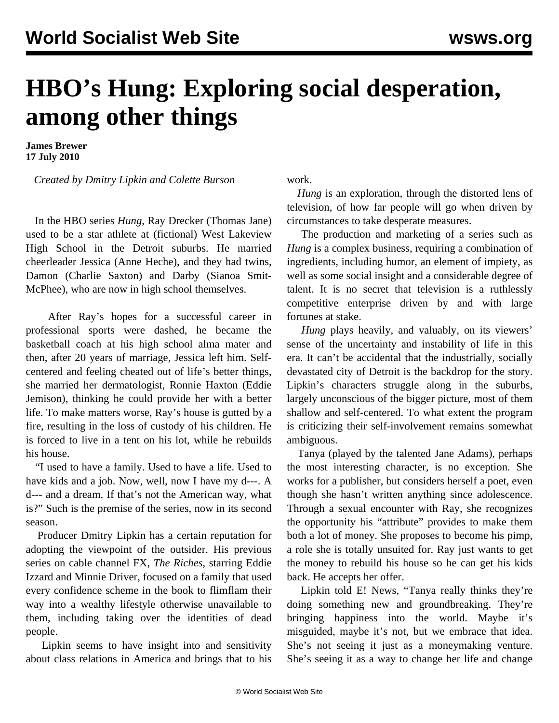## **HBO's Hung: Exploring social desperation, among other things**

**James Brewer 17 July 2010**

*Created by Dmitry Lipkin and Colette Burson*

 In the HBO series *Hung*, Ray Drecker (Thomas Jane) used to be a star athlete at (fictional) West Lakeview High School in the Detroit suburbs. He married cheerleader Jessica (Anne Heche), and they had twins, Damon (Charlie Saxton) and Darby (Sianoa Smit-McPhee), who are now in high school themselves.

 After Ray's hopes for a successful career in professional sports were dashed, he became the basketball coach at his high school alma mater and then, after 20 years of marriage, Jessica left him. Selfcentered and feeling cheated out of life's better things, she married her dermatologist, Ronnie Haxton (Eddie Jemison), thinking he could provide her with a better life. To make matters worse, Ray's house is gutted by a fire, resulting in the loss of custody of his children. He is forced to live in a tent on his lot, while he rebuilds his house.

 "I used to have a family. Used to have a life. Used to have kids and a job. Now, well, now I have my d---. A d--- and a dream. If that's not the American way, what is?" Such is the premise of the series, now in its second season.

 Producer Dmitry Lipkin has a certain reputation for adopting the viewpoint of the outsider. His previous series on cable channel FX, *The Riches*, starring Eddie Izzard and Minnie Driver, focused on a family that used every confidence scheme in the book to flimflam their way into a wealthy lifestyle otherwise unavailable to them, including taking over the identities of dead people.

 Lipkin seems to have insight into and sensitivity about class relations in America and brings that to his

work.

 *Hung* is an exploration, through the distorted lens of television, of how far people will go when driven by circumstances to take desperate measures.

 The production and marketing of a series such as *Hung* is a complex business, requiring a combination of ingredients, including humor, an element of impiety, as well as some social insight and a considerable degree of talent. It is no secret that television is a ruthlessly competitive enterprise driven by and with large fortunes at stake.

 *Hung* plays heavily, and valuably, on its viewers' sense of the uncertainty and instability of life in this era. It can't be accidental that the industrially, socially devastated city of Detroit is the backdrop for the story. Lipkin's characters struggle along in the suburbs, largely unconscious of the bigger picture, most of them shallow and self-centered. To what extent the program is criticizing their self-involvement remains somewhat ambiguous.

 Tanya (played by the talented Jane Adams), perhaps the most interesting character, is no exception. She works for a publisher, but considers herself a poet, even though she hasn't written anything since adolescence. Through a sexual encounter with Ray, she recognizes the opportunity his "attribute" provides to make them both a lot of money. She proposes to become his pimp, a role she is totally unsuited for. Ray just wants to get the money to rebuild his house so he can get his kids back. He accepts her offer.

 Lipkin told E! News, "Tanya really thinks they're doing something new and groundbreaking. They're bringing happiness into the world. Maybe it's misguided, maybe it's not, but we embrace that idea. She's not seeing it just as a moneymaking venture. She's seeing it as a way to change her life and change